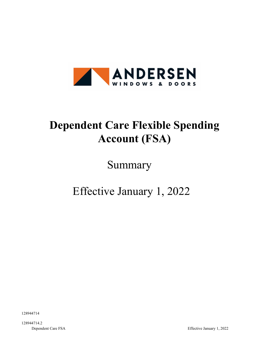

# **Dependent Care Flexible Spending Account (FSA)**

Summary

# Effective January 1, 2022

128944714

128944714.2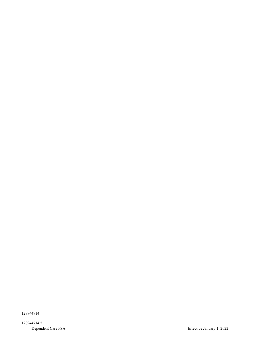128944714

Dependent Care FSA Effective January 1, 2022 128944714.2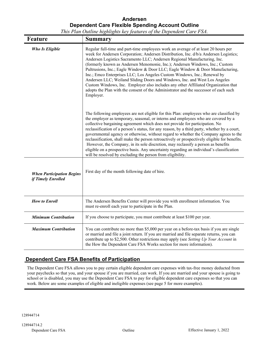### **Andersen Dependent Care Flexible Spending Account Outline**

*This Plan Outline highlights key features of the Dependent Care FSA.*

| <b>Feature</b>                                         | Summary                                                                                                                                                                                                                                                                                                                                                                                                                                                                                                                                                                                                                                                                                                                                                                                                 |  |
|--------------------------------------------------------|---------------------------------------------------------------------------------------------------------------------------------------------------------------------------------------------------------------------------------------------------------------------------------------------------------------------------------------------------------------------------------------------------------------------------------------------------------------------------------------------------------------------------------------------------------------------------------------------------------------------------------------------------------------------------------------------------------------------------------------------------------------------------------------------------------|--|
| <b>Who Is Eligible</b>                                 | Regular full-time and part-time employees work an average of at least 20 hours per<br>week for Andersen Corporation; Andersen Distribution, Inc. d/b/a Andersen Logistics;<br>Andersen Logistics Sacramento LLC; Andersen Regional Manufacturing, Inc.<br>(formerly known as Andersen Menomonie, Inc.); Andersen Windows, Inc.; Custom<br>Pultrusions, Inc.; Eagle Window & Door LLC; Eagle Window & Door Manufacturing,<br>Inc.; Emco Enterprises LLC; Los Angeles Custom Windows, Inc.; Renewal by<br>Andersen LLC; Weiland Sliding Doors and Windows, Inc. and West Los Angeles<br>Custom Windows, Inc. Employer also includes any other Affiliated Organization that<br>adopts the Plan with the consent of the Administrator and the successor of each such<br>Employer.                           |  |
|                                                        | The following employees are not eligible for this Plan: employees who are classified by<br>the employer as temporary, seasonal, or interns and employees who are covered by a<br>collective bargaining agreement which does not provide for participation. No<br>reclassification of a person's status, for any reason, by a third party, whether by a court,<br>governmental agency or otherwise, without regard to whether the Company agrees to the<br>reclassification, shall make the person retroactively or prospectively eligible for benefits.<br>However, the Company, in its sole discretion, may reclassify a person as benefits<br>eligible on a prospective basis. Any uncertainty regarding an individual's classification<br>will be resolved by excluding the person from eligibility. |  |
| <b>When Participation Begins</b><br>if Timely Enrolled | First day of the month following date of hire.                                                                                                                                                                                                                                                                                                                                                                                                                                                                                                                                                                                                                                                                                                                                                          |  |
| <b>How to Enroll</b>                                   | The Andersen Benefits Center will provide you with enrollment information. You<br>must re-enroll each year to participate in the Plan.                                                                                                                                                                                                                                                                                                                                                                                                                                                                                                                                                                                                                                                                  |  |
| <b>Minimum Contribution</b>                            | If you choose to participate, you must contribute at least \$100 per year.                                                                                                                                                                                                                                                                                                                                                                                                                                                                                                                                                                                                                                                                                                                              |  |
| <b>Maximum Contribution</b>                            | You can contribute no more than \$5,000 per year on a before-tax basis if you are single<br>or married and file a joint return. If you are married and file separate returns, you can<br>contribute up to \$2,500. Other restrictions may apply (see Setting Up Your Account in<br>the How the Dependent Care FSA Works section for more information).                                                                                                                                                                                                                                                                                                                                                                                                                                                  |  |

## **Dependent Care FSA Benefits of Participation**

The Dependent Care FSA allows you to pay certain eligible dependent care expenses with tax-free money deducted from your paychecks so that you, and your spouse if you are married, can work. If you are married and your spouse is going to school or is disabled, you may use the Dependent Care FSA to pay for eligible dependent care expenses so that you can work. Below are some examples of eligible and ineligible expenses (see page 5 for more examples).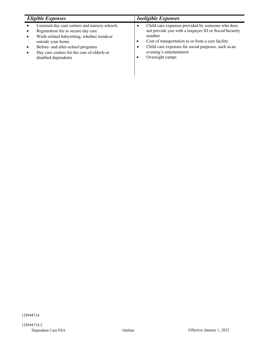| <b>Eligible Expenses</b>                                                                                                                                                                                                                                                         | <b>Ineligible Expenses</b>                                                                                                                                                                                                                                                    |
|----------------------------------------------------------------------------------------------------------------------------------------------------------------------------------------------------------------------------------------------------------------------------------|-------------------------------------------------------------------------------------------------------------------------------------------------------------------------------------------------------------------------------------------------------------------------------|
| Licensed day care centers and nursery schools<br>Registration fee to secure day care<br>Work-related babysitting, whether inside or<br>$\bullet$<br>outside your home<br>Before- and after-school programs<br>Day care centers for the care of elderly or<br>disabled dependents | Child care expenses provided by someone who does<br>not provide you with a taxpayer ID or Social Security<br>number<br>Cost of transportation to or from a care facility<br>Child care expenses for social purposes, such as an<br>evening's entertainment<br>Overnight camps |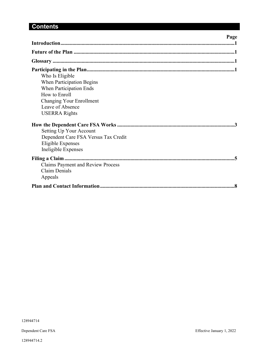# **Contents**

|                                                                                                                                                                                                                                                                                                                                                                                                                             | Page |
|-----------------------------------------------------------------------------------------------------------------------------------------------------------------------------------------------------------------------------------------------------------------------------------------------------------------------------------------------------------------------------------------------------------------------------|------|
|                                                                                                                                                                                                                                                                                                                                                                                                                             |      |
|                                                                                                                                                                                                                                                                                                                                                                                                                             |      |
| $\bf Glossary\  \, \ldots \  \, \ldots \  \, \ldots \  \, \ldots \  \, \ldots \  \, \ldots \  \, \ldots \  \, \ldots \  \, \ldots \  \, \ldots \  \, \ldots \  \, \ldots \  \, \ldots \  \, \ldots \  \, \ldots \  \, \ldots \  \, \ldots \  \, \ldots \  \, \ldots \  \, \ldots \  \, \ldots \  \, \ldots \  \, \ldots \  \, \ldots \  \, \ldots \  \, \ldots \  \, \ldots \  \, \ldots \  \, \ldots \  \, \ldots \  \, \$ |      |
|                                                                                                                                                                                                                                                                                                                                                                                                                             |      |
| Who Is Eligible                                                                                                                                                                                                                                                                                                                                                                                                             |      |
| When Participation Begins                                                                                                                                                                                                                                                                                                                                                                                                   |      |
| When Participation Ends                                                                                                                                                                                                                                                                                                                                                                                                     |      |
| How to Enroll                                                                                                                                                                                                                                                                                                                                                                                                               |      |
| <b>Changing Your Enrollment</b>                                                                                                                                                                                                                                                                                                                                                                                             |      |
| Leave of Absence                                                                                                                                                                                                                                                                                                                                                                                                            |      |
| <b>USERRA Rights</b>                                                                                                                                                                                                                                                                                                                                                                                                        |      |
|                                                                                                                                                                                                                                                                                                                                                                                                                             |      |
| Setting Up Your Account                                                                                                                                                                                                                                                                                                                                                                                                     |      |
| Dependent Care FSA Versus Tax Credit                                                                                                                                                                                                                                                                                                                                                                                        |      |
| <b>Eligible Expenses</b>                                                                                                                                                                                                                                                                                                                                                                                                    |      |
| Ineligible Expenses                                                                                                                                                                                                                                                                                                                                                                                                         |      |
|                                                                                                                                                                                                                                                                                                                                                                                                                             |      |
| <b>Claims Payment and Review Process</b>                                                                                                                                                                                                                                                                                                                                                                                    |      |
| Claim Denials                                                                                                                                                                                                                                                                                                                                                                                                               |      |
| Appeals                                                                                                                                                                                                                                                                                                                                                                                                                     |      |
|                                                                                                                                                                                                                                                                                                                                                                                                                             |      |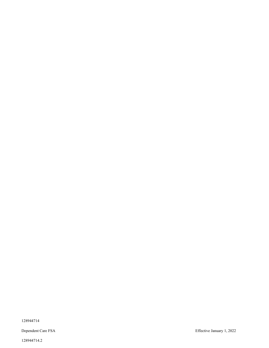128944714

128944714.2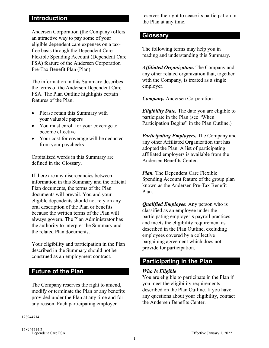# **Introduction**

Andersen Corporation (the Company) offers an attractive way to pay some of your eligible dependent care expenses on a taxfree basis through the Dependent Care Flexible Spending Account (Dependent Care FSA) feature of the Andersen Corporation Pre-Tax Benefit Plan (Plan).

The information in this Summary describes the terms of the Andersen Dependent Care FSA. The Plan Outline highlights certain features of the Plan.

- Please retain this Summary with your valuable papers
- You must enroll for your coverage to become effective
- Your cost for coverage will be deducted from your paychecks

Capitalized words in this Summary are defined in the Glossary.

If there are any discrepancies between information in this Summary and the official Plan documents, the terms of the Plan documents will prevail. You and your eligible dependents should not rely on any oral description of the Plan or benefits because the written terms of the Plan will always govern. The Plan Administrator has the authority to interpret the Summary and the related Plan documents.

Your eligibility and participation in the Plan described in the Summary should not be construed as an employment contract.

# <span id="page-6-0"></span>**Future of the Plan**

The Company reserves the right to amend, modify or terminate the Plan or any benefits provided under the Plan at any time and for any reason. Each participating employer

reserves the right to cease its participation in the Plan at any time.

### **Glossary**

The following terms may help you in reading and understanding this Summary.

*Affiliated Organization.* The Company and any other related organization that, together with the Company, is treated as a single employer.

*Company.* Andersen Corporation

*Eligibility Date.* The date you are eligible to participate in the Plan (see "When Participation Begins" in the Plan Outline.)

*Participating Employers.* The Company and any other Affiliated Organization that has adopted the Plan. A list of participating affiliated employers is available from the Andersen Benefits Center.

*Plan.* The Dependent Care Flexible Spending Account feature of the group plan known as the Andersen Pre-Tax Benefit Plan.

*Qualified Employee.* Any person who is classified as an employee under the participating employer's payroll practices and meets the eligibility requirement as described in the Plan Outline, excluding employees covered by a collective bargaining agreement which does not provide for participation.

# **Participating in the Plan**

### *Who Is Eligible*

You are eligible to participate in the Plan if you meet the eligibility requirements described on the Plan Outline. If you have any questions about your eligibility, contact the Andersen Benefits Center.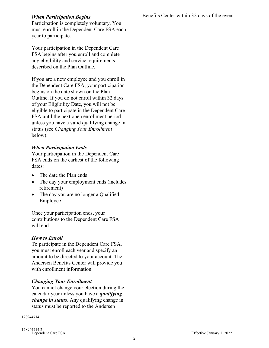Benefits Center within 32 days of the event.

### *When Participation Begins*

Participation is completely voluntary. You must enroll in the Dependent Care FSA each year to participate.

Your participation in the Dependent Care FSA begins after you enroll and complete any eligibility and service requirements described on the Plan Outline.

If you are a new employee and you enroll in the Dependent Care FSA, your participation begins on the date shown on the Plan Outline. If you do not enroll within 32 days of your Eligibility Date, you will not be eligible to participate in the Dependent Care FSA until the next open enrollment period unless you have a valid qualifying change in status (see *Changing Your Enrollment*  below).

## *When Participation Ends*

Your participation in the Dependent Care FSA ends on the earliest of the following dates:

- The date the Plan ends
- The day your employment ends (includes retirement)
- The day you are no longer a Qualified Employee

Once your participation ends, your contributions to the Dependent Care FSA will end.

## *How to Enroll*

To participate in the Dependent Care FSA, you must enroll each year and specify an amount to be directed to your account. The Andersen Benefits Center will provide you with enrollment information.

## *Changing Your Enrollment*

You cannot change your election during the calendar year unless you have a *qualifying change in status*. Any qualifying change in status must be reported to the Andersen

128944714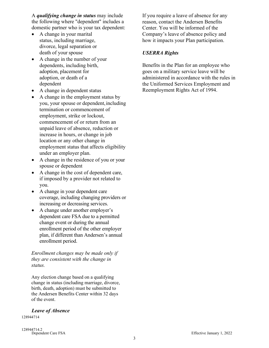A *qualifying change in status* may include the following where "dependent" includes a domestic partner who is your tax dependent:

- A change in your marital status, including marriage, divorce, legal separation or death of your spouse
- A change in the number of your dependents, including birth, adoption, placement for adoption, or death of a dependent
- A change in dependent status
- A change in the employment status by you, your spouse or dependent,including termination or commencement of employment, strike or lockout, commencement of or return from an unpaid leave of absence, reduction or increase in hours, or change in job location or any other change in employment status that affects eligibility under an employer plan.
- A change in the residence of you or your spouse or dependent
- A change in the cost of dependent care, if imposed by a provider not related to you.
- A change in your dependent care coverage, including changing providers or increasing or decreasing services.
- A change under another employer's dependent care FSA due to a permitted change event or during the annual enrollment period of the other employer plan, if different than Andersen's annual enrollment period.

#### *Enrollment changes may be made only if they are consistent with the change in status.*

Any election change based on a qualifying change in status (including marriage, divorce, birth, death, adoption) must be submitted to the Andersen Benefits Center within 32 days of the event.

#### *Leave of Absence*

128944714

128944714.2

If you require a leave of absence for any reason, contact the Andersen Benefits Center. You will be informed of the Company's leave of absence policy and how it impacts your Plan participation.

### *USERRA Rights*

Benefits in the Plan for an employee who goes on a military service leave will be administered in accordance with the rules in the Uniformed Services Employment and Reemployment Rights Act of 1994.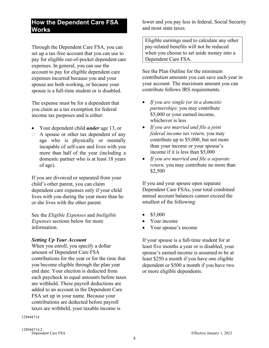# **How the Dependent Care FSA Works**

Through the Dependent Care FSA, you can set up a tax-free account that you can use to pay for eligible out-of-pocket dependent care expenses. In general, you can use the account to pay for eligible dependent care expenses incurred because you and your spouse are both working, or because your spouse is a full-time student or is disabled.

The expense must be for a dependent that you claim as a tax exemption for federal income tax purposes and is either:

- Your dependent child *under* age 13, or
- $\Box$  A spouse or other tax dependent of any age who is physically or mentally incapable of self-care and lives with you more than half of the year (including a domestic partner who is at least 18 years of age).

If you are divorced or separated from your child's other parent, you can claim dependent care expenses only if your child lives with you during the year more than he or she lives with the other parent.

See the *Eligible Expenses* and *Ineligible Expenses* sections below for more information.

#### *Setting Up Your Account*

When you enroll, you specify a dollar amount of Dependent Care FSA contributions for the year or for the time that you become eligible through the plan year end date. Your election is deducted from each paycheck in equal amounts before taxes are withheld. These payroll deductions are added to an account in the Dependent Care FSA set up in your name. Because your contributions are deducted before payroll taxes are withheld, your taxable income is

lower and you pay less in federal, Social Security and most state taxes.

Eligible earnings used to calculate any other pay-related benefits will not be reduced when you choose to set aside money into a Dependent Care FSA.

See the Plan Outline for the minimum contribution amounts you can save each year in your account. The maximum amount you can contribute follows IRS requirements.

- *If you are single (or in a domestic partnership),* you may contribute \$5,000 or your earned income, whichever is less
- *If you are married and file a joint federal income tax return,* you may contribute up to \$5,000, but not more than your income or your spouse's income if it is less than \$5,000
- *If you are married and file a separate return,* you may contribute no more than \$2,500

If you and your spouse open separate Dependent Care FSAs, your total combined annual account balances cannot exceed the smallest of the following:

- \$5,000
- Your income
- Your spouse's income

If your spouse is a full-time student for at least five months a year or is disabled, your spouse's earned income is assumed to be at least \$250 a month if you have one eligible dependent or \$500 a month if you have two or more eligible dependents.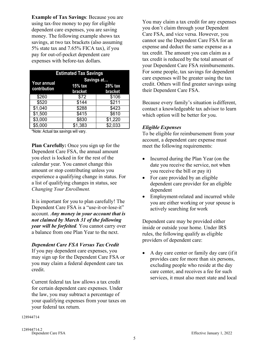**Example of Tax Savings**: Because you are using tax-free money to pay for eligible dependent care expenses, you are saving money. The following example shows tax savings, at two tax brackets (also assuming 5% state tax and 7.65% FICA tax), if you pay for out-of-pocket dependent care expenses with before-tax dollars.

| <b>Estimated Tax Savings</b> |            |         |  |  |
|------------------------------|------------|---------|--|--|
| <b>Your annual</b>           | Savings at |         |  |  |
| contribution                 | $15%$ tax  | 28% tax |  |  |
|                              | bracket    | bracket |  |  |
| \$260                        | \$72       | \$106   |  |  |
| \$520                        | \$144      | \$211   |  |  |
| \$1,040                      | \$288      | \$423   |  |  |
| \$1,500                      | \$415      | \$610   |  |  |
| \$3,000                      | \$830      | \$1,220 |  |  |
| \$5,000                      | \$1,383    | \$2,033 |  |  |

\*Note: Actual tax savings will vary.

**Plan Carefully:** Once you sign up for the Dependent Care FSA, the annual amount you elect is locked in for the rest of the calendar year. You cannot change this amount or stop contributing unless you experience a qualifying change in status. For a list of qualifying changes in status, see *Changing Your Enrollment.*

It is important for you to plan carefully! The Dependent Care FSA is a "use-it-or-lose-it" account. *Any money in your account that is not claimed by March 31 of the following year will be forfeited.* You cannot carry over a balance from one Plan Year to the next.

#### *Dependent Care FSA Versus Tax Credit*

If you pay dependent care expenses, you may sign up for the Dependent Care FSA or you may claim a federal dependent care tax credit.

Current federal tax law allows a tax credit for certain dependent care expenses. Under the law, you may subtract a percentage of your qualifying expenses from your taxes on your federal tax return.

You may claim a tax credit for any expenses you don't claim through your Dependent Care FSA, and vice versa. However, you cannot use the Dependent Care FSA for an expense and deduct the same expense as a tax credit. The amount you can claim as a tax credit is reduced by the total amount of your Dependent Care FSA reimbursements. For some people, tax savings for dependent care expenses will be greater using the tax credit. Others will find greater savings using their Dependent Care FSA.

Because every family's situation isdifferent, contact a knowledgeable tax advisor to learn which option will be better for you.

#### *Eligible Expenses*

To be eligible for reimbursement from your account, a dependent care expense must meet the following requirements:

- Incurred during the Plan Year (on the date you receive the service, not when you receive the bill or pay it)
- For care provided by an eligible dependent care provider for an eligible dependent
- Employment-related and incurred while you are either working or your spouse is actively searching for work

Dependent care may be provided either inside or outside your home. Under IRS rules, the following qualify as eligible providers of dependent care:

• A day care center or family day care (if it provides care for more than six persons, excluding people who reside at the day care center, and receives a fee for such services, it must also meet state and local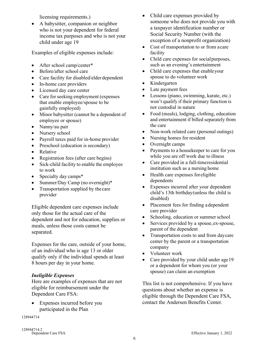licensing requirements.)

• A babysitter, companion or neighbor who is not your dependent for federal income tax purposes and who is not your child under age 19

Examples of eligible expenses include:

- After school camp/center\*
- Before/after school care
- Care facility for disabled/elder dependent
- In-home care providers
- Licensed day care center
- Care for seeking employment (expenses) that enable employee/spouse to be gainfully employed)
- Minor babysitter (cannot be a dependent of employee or spouse)
- Nanny/au pair
- Nursery school
- Payroll taxes paid for in-home provider
- Preschool (education is secondary)
- Relative
- Registration fees (after care begins)
- Sick-child facility to enable the employee to work
- Specialty day camps\*
- Summer/Day Camp (no overnight)\*
- Transportation supplied by the care provider

Eligible dependent care expenses include only those for the actual care of the dependent and not for education, supplies or meals, unless those costs cannot be separated.

Expenses for the care, outside of your home, of an individual who is age 13 or older qualify only if the individual spends at least 8 hours per day in your home.

## *Ineligible Expenses*

Here are examples of expenses that are not eligible for reimbursement under the Dependent Care FSA:

• Expenses incurred before you participated in the Plan

#### 128944714

- Child care expenses provided by someone who does not provide you with a taxpayer identification number or Social Security Number (with the exception of a nonprofit organization)
- Cost of transportation to or from acare facility
- Child care expenses for social purposes, such as an evening's entertainment
- Child care expenses that enableyour spouse to do volunteer work
- Kindergarten
- Late payment fees
- Lessons (piano, swimming, karate, etc.) won't qualify if their primary function is not custodial in nature
- Food (meals), lodging, clothing, education and entertainment if billed separately from the care
- Non-work related care (personal outings)
- Nursing homes for resident
- Overnight camps
- Payments to a house keeper to care for you while you are off work due to illness
- Care provided in a full-timeresidential institution such as a nursing home
- Health care expenses for eligible dependents
- Expenses incurred after your dependent child's 13th birthday(unless the child is disabled)
- Placement fees for finding adependent care provider
- Schooling, education or summer school
- Services provided by a spouse, ex-spouse, parent of the dependent
- Transportation costs to and from daycare center by the parent or a transportation company
- Volunteer work
- Care provided by your child under age 19 or a dependent for whom you (or your spouse) can claim an exemption

This list is not comprehensive. If you have questions about whether an expense is eligible through the Dependent Care FSA, contact the Andersen Benefits Center.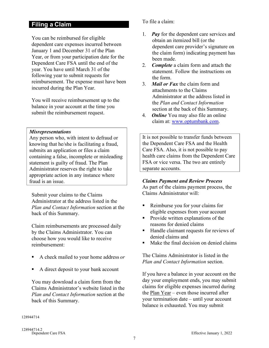## **Filing a Claim**

You can be reimbursed for eligible dependent care expenses incurred between January 1 and December 31 of the Plan Year, or from your participation date for the Dependent Care FSA until the end of the year. You have until March 31 of the following year to submit requests for reimbursement. The expense must have been incurred during the Plan Year.

You will receive reimbursement up to the balance in your account at the time you submit the reimbursement request.

#### *Misrepresentations*

Any person who, with intent to defraud or knowing that he/she is facilitating a fraud, submits an application or files a claim containing a false, incomplete or misleading statement is guilty of fraud. The Plan Administrator reserves the right to take appropriate action in any instance where fraud is an issue.

Submit your claims to the Claims Administrator at the address listed in the *Plan and Contact Information* section at the back of this Summary.

Claim reimbursements are processed daily by the Claims Administrator. You can choose how you would like to receive reimbursement:

- A check mailed to your home address *or*
- A direct deposit to your bank account

You may download a claim form from the Claims Administrator's website listed in the *Plan and Contact Information* section at the back of this Summary.

#### To file a claim:

- 1. *Pay* for the dependent care services and obtain an itemized bill (or the dependent care provider's signature on the claim form) indicating payment has been made.
- 2. *Complete* a claim form and attach the statement. Follow the instructions on the form.
- 3. *Mail or Fax* the claim form and attachments to the Claims Administrator at the address listed in the *Plan and Contact Information*  section at the back of this Summary.
- 4. *Online* You may also file an online claim at: [www.optumbank.com.](http://www.optumbank.com/)

It is not possible to transfer funds between the Dependent Care FSA and the Health Care FSA. Also, it is not possible to pay health care claims from the Dependent Care FSA or vice versa. The two are entirely separate accounts.

#### *Claims Payment and Review Process*

As part of the claims payment process, the Claims Administrator will:

- Reimburse you for your claims for eligible expenses from your account
- **Provide written explanations of the** reasons for denied claims
- Handle claimant requests for reviews of denied claims and
- Make the final decision on denied claims

The Claims Administrator is listed in the *Plan and Contact Information* section.

If you have a balance in your account on the day your employment ends, you may submit claims for eligible expenses incurred during the Plan Year – even those incurred after your termination date – until your account balance is exhausted. You may submit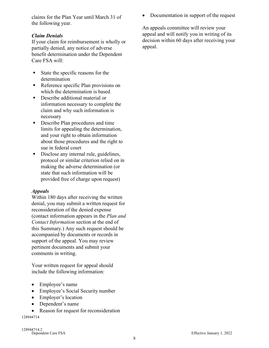claims for the Plan Year until March 31 of the following year.

#### *Claim Denials*

If your claim for reimbursement is wholly or partially denied, any notice of adverse benefit determination under the Dependent Care FSA will:

- State the specific reasons for the determination
- Reference specific Plan provisions on which the determination is based
- **Describe additional material or** information necessary to complete the claim and why such information is necessary
- Describe Plan procedures and time limits for appealing the determination, and your right to obtain information about those procedures and the right to sue in federal court
- Disclose any internal rule, guidelines, protocol or similar criterion relied on in making the adverse determination (or state that such information will be provided free of charge upon request)

#### *Appeals*

Within 180 days after receiving the written denial, you may submit a written request for reconsideration of the denied expense (contact information appears in the *Plan and Contact Information* section at the end of this Summary.) Any such request should be accompanied by documents or records in support of the appeal. You may review pertinent documents and submit your comments in writing.

Your written request for appeal should include the following information:

- Employee's name
- Employee's Social Security number
- Employer's location
- Dependent's name
- Reason for request for reconsideration

#### 128944714

• Documentation in support of the request

An appeals committee will review your appeal and will notify you in writing of its decision within 60 days after receiving your appeal.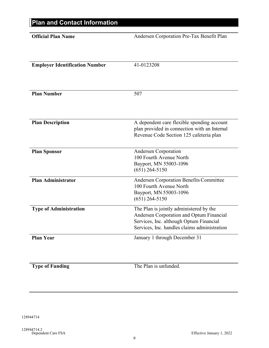| <b>Employer Identification Number</b> | 41-0123208                                                                              |
|---------------------------------------|-----------------------------------------------------------------------------------------|
|                                       |                                                                                         |
| <b>Plan Number</b>                    | 507                                                                                     |
|                                       |                                                                                         |
| <b>Plan Description</b>               | A dependent care flexible spending account                                              |
|                                       | plan provided in connection with an Internal<br>Revenue Code Section 125 cafeteria plan |
|                                       |                                                                                         |
| <b>Plan Sponsor</b>                   | Andersen Corporation                                                                    |
|                                       | 100 Fourth Avenue North                                                                 |
|                                       | Bayport, MN 55003-1096<br>$(651)$ 264-5150                                              |
| <b>Plan Administrator</b>             | <b>Andersen Corporation Benefits Committee</b>                                          |
|                                       | 100 Fourth Avenue North                                                                 |
|                                       | Bayport, MN 55003-1096                                                                  |
|                                       | $(651)$ 264-5150                                                                        |
| <b>Type of Administration</b>         | The Plan is jointly administered by the                                                 |
|                                       | Andersen Corporation and Optum Financial                                                |
|                                       | Services, Inc. although Optum Financial                                                 |
|                                       | Services, Inc. handles claims administration                                            |
| <b>Plan Year</b>                      | January 1 through December 31                                                           |
|                                       |                                                                                         |

**Official Plan Name** Andersen Corporation Pre-Tax Benefit Plan

**Type of Funding** The Plan is unfunded.

128944714